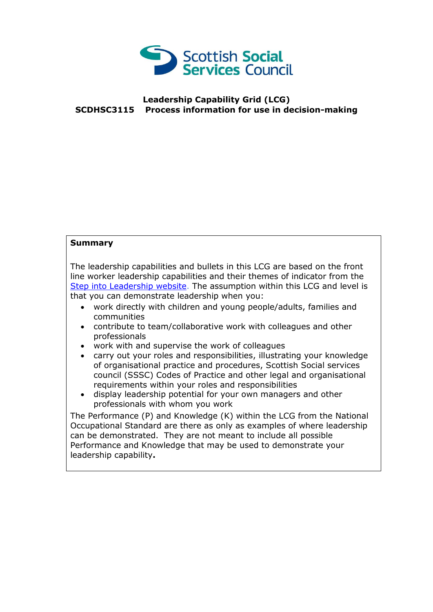

## **Leadership Capability Grid (LCG) SCDHSC3115 Process information for use in decision-making**

## **Summary**

The leadership capabilities and bullets in this LCG are based on the front line worker leadership capabilities and their themes of indicator from the [Step into Leadership website.](http://www.stepintoleadership.info/) The assumption within this LCG and level is that you can demonstrate leadership when you:

- work directly with children and young people/adults, families and communities
- contribute to team/collaborative work with colleagues and other professionals
- work with and supervise the work of colleagues
- carry out your roles and responsibilities, illustrating your knowledge of organisational practice and procedures, Scottish Social services council (SSSC) Codes of Practice and other legal and organisational requirements within your roles and responsibilities
- display leadership potential for your own managers and other professionals with whom you work

The Performance (P) and Knowledge (K) within the LCG from the National Occupational Standard are there as only as examples of where leadership can be demonstrated. They are not meant to include all possible Performance and Knowledge that may be used to demonstrate your leadership capability**.**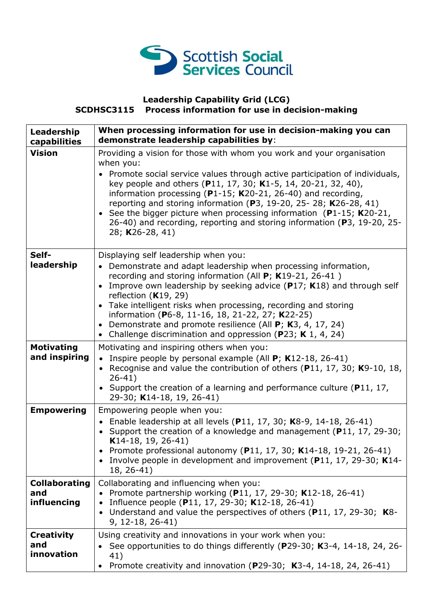

## **Leadership Capability Grid (LCG) SCDHSC3115 Process information for use in decision-making**

| Leadership<br>capabilities                 | When processing information for use in decision-making you can<br>demonstrate leadership capabilities by:                                                                                                                                                                                                                                                                                                                                                                                                                                    |
|--------------------------------------------|----------------------------------------------------------------------------------------------------------------------------------------------------------------------------------------------------------------------------------------------------------------------------------------------------------------------------------------------------------------------------------------------------------------------------------------------------------------------------------------------------------------------------------------------|
| <b>Vision</b>                              | Providing a vision for those with whom you work and your organisation<br>when you:<br>Promote social service values through active participation of individuals,<br>key people and others (P11, 17, 30; K1-5, 14, 20-21, 32, 40),<br>information processing (P1-15; K20-21, 26-40) and recording,<br>reporting and storing information (P3, 19-20, 25- 28; K26-28, 41)<br>• See the bigger picture when processing information (P1-15; K20-21,<br>26-40) and recording, reporting and storing information (P3, 19-20, 25-<br>28; K26-28, 41) |
| Self-<br>leadership                        | Displaying self leadership when you:<br>• Demonstrate and adapt leadership when processing information,<br>recording and storing information (All $P$ ; K19-21, 26-41)<br>Improve own leadership by seeking advice (P17; K18) and through self<br>reflection $(K19, 29)$<br>Take intelligent risks when processing, recording and storing<br>$\bullet$<br>information (P6-8, 11-16, 18, 21-22, 27; K22-25)<br>Demonstrate and promote resilience (All $P$ ; K3, 4, 17, 24)<br>Challenge discrimination and oppression (P23; K 1, 4, 24)      |
| <b>Motivating</b><br>and inspiring         | Motivating and inspiring others when you:<br>• Inspire people by personal example (All $P$ ; K12-18, 26-41)<br>• Recognise and value the contribution of others (P11, 17, 30; K9-10, 18,<br>$26 - 41)$<br>• Support the creation of a learning and performance culture ( $P11$ , 17,<br>29-30; K14-18, 19, 26-41)                                                                                                                                                                                                                            |
| <b>Empowering</b>                          | Empowering people when you:<br>• Enable leadership at all levels (P11, 17, 30; K8-9, 14-18, 26-41)<br>• Support the creation of a knowledge and management (P11, 17, 29-30;<br>K14-18, 19, 26-41)<br>Promote professional autonomy (P11, 17, 30; K14-18, 19-21, 26-41)<br>Involve people in development and improvement (P11, 17, 29-30; K14-<br>18, 26-41)                                                                                                                                                                                  |
| <b>Collaborating</b><br>and<br>influencing | Collaborating and influencing when you:<br>• Promote partnership working (P11, 17, 29-30; K12-18, 26-41)<br>• Influence people (P11, 17, 29-30; K12-18, 26-41)<br>• Understand and value the perspectives of others (P11, 17, 29-30; K8-<br>$9, 12-18, 26-41)$                                                                                                                                                                                                                                                                               |
| <b>Creativity</b><br>and<br>innovation     | Using creativity and innovations in your work when you:<br>See opportunities to do things differently (P29-30; K3-4, 14-18, 24, 26-<br>41)<br>Promote creativity and innovation (P29-30; K3-4, 14-18, 24, 26-41)                                                                                                                                                                                                                                                                                                                             |